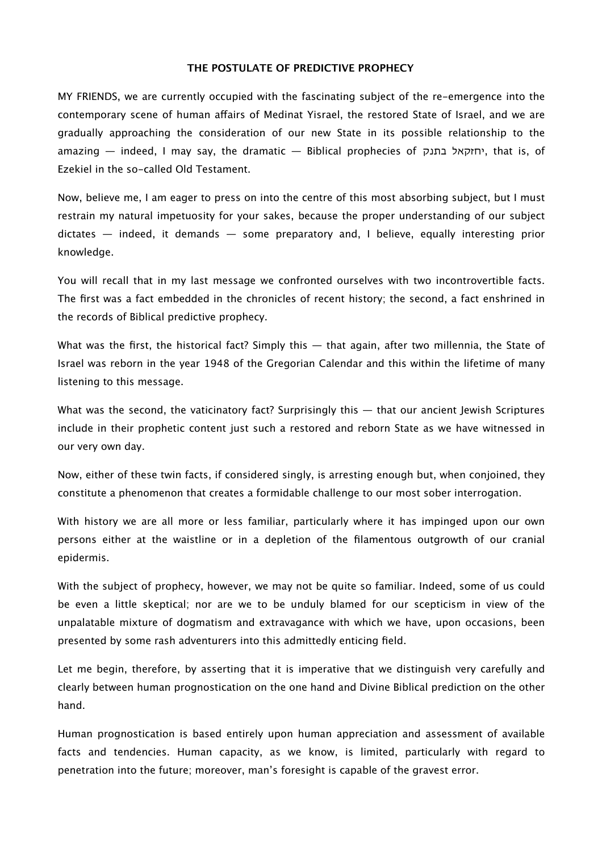## **THE POSTULATE OF PREDICTIVE PROPHECY**

MY FRIENDS, we are currently occupied with the fascinating subject of the re-emergence into the contemporary scene of human afairs of Medinat Yisrael, the restored State of Israel, and we are gradually approaching the consideration of our new State in its possible relationship to the amazing — indeed, I may say, the dramatic — Biblical prophecies of בתנק יחזקאל, that is, of Ezekiel in the so-called Old Testament.

Now, believe me, I am eager to press on into the centre of this most absorbing subject, but I must restrain my natural impetuosity for your sakes, because the proper understanding of our subject dictates — indeed, it demands — some preparatory and, I believe, equally interesting prior knowledge.

You will recall that in my last message we confronted ourselves with two incontrovertible facts. The first was a fact embedded in the chronicles of recent history; the second, a fact enshrined in the records of Biblical predictive prophecy.

What was the first, the historical fact? Simply this  $-$  that again, after two millennia, the State of Israel was reborn in the year 1948 of the Gregorian Calendar and this within the lifetime of many listening to this message.

What was the second, the vaticinatory fact? Surprisingly this — that our ancient Jewish Scriptures include in their prophetic content just such a restored and reborn State as we have witnessed in our very own day.

Now, either of these twin facts, if considered singly, is arresting enough but, when conjoined, they constitute a phenomenon that creates a formidable challenge to our most sober interrogation.

With history we are all more or less familiar, particularly where it has impinged upon our own persons either at the waistline or in a depletion of the filamentous outgrowth of our cranial epidermis.

With the subject of prophecy, however, we may not be quite so familiar. Indeed, some of us could be even a little skeptical; nor are we to be unduly blamed for our scepticism in view of the unpalatable mixture of dogmatism and extravagance with which we have, upon occasions, been presented by some rash adventurers into this admittedly enticing field.

Let me begin, therefore, by asserting that it is imperative that we distinguish very carefully and clearly between human prognostication on the one hand and Divine Biblical prediction on the other hand.

Human prognostication is based entirely upon human appreciation and assessment of available facts and tendencies. Human capacity, as we know, is limited, particularly with regard to penetration into the future; moreover, man's foresight is capable of the gravest error.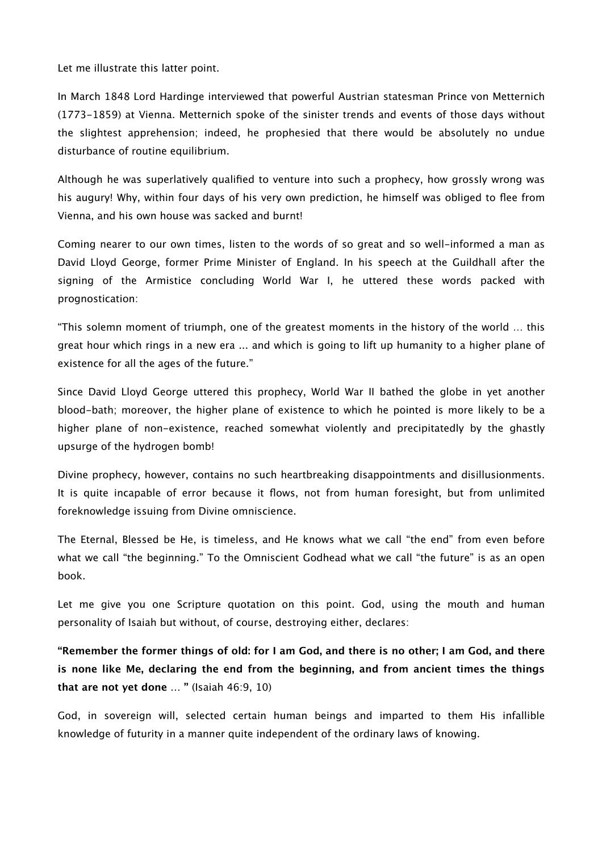Let me illustrate this latter point.

In March 1848 Lord Hardinge interviewed that powerful Austrian statesman Prince von Metternich (1773-1859) at Vienna. Metternich spoke of the sinister trends and events of those days without the slightest apprehension; indeed, he prophesied that there would be absolutely no undue disturbance of routine equilibrium.

Although he was superlatively qualified to venture into such a prophecy, how grossly wrong was his augury! Why, within four days of his very own prediction, he himself was obliged to flee from Vienna, and his own house was sacked and burnt!

Coming nearer to our own times, listen to the words of so great and so well-informed a man as David Lloyd George, former Prime Minister of England. In his speech at the Guildhall after the signing of the Armistice concluding World War I, he uttered these words packed with prognostication:

"This solemn moment of triumph, one of the greatest moments in the history of the world … this great hour which rings in a new era ... and which is going to lift up humanity to a higher plane of existence for all the ages of the future."

Since David Lloyd George uttered this prophecy, World War II bathed the globe in yet another blood-bath; moreover, the higher plane of existence to which he pointed is more likely to be a higher plane of non-existence, reached somewhat violently and precipitatedly by the ghastly upsurge of the hydrogen bomb!

Divine prophecy, however, contains no such heartbreaking disappointments and disillusionments. It is quite incapable of error because it flows, not from human foresight, but from unlimited foreknowledge issuing from Divine omniscience.

The Eternal, Blessed be He, is timeless, and He knows what we call "the end" from even before what we call "the beginning." To the Omniscient Godhead what we call "the future" is as an open book.

Let me give you one Scripture quotation on this point. God, using the mouth and human personality of Isaiah but without, of course, destroying either, declares:

**"Remember the former things of old: for I am God, and there is no other; I am God, and there is none like Me, declaring the end from the beginning, and from ancient times the things that are not yet done … "** (Isaiah 46:9, 10)

God, in sovereign will, selected certain human beings and imparted to them His infallible knowledge of futurity in a manner quite independent of the ordinary laws of knowing.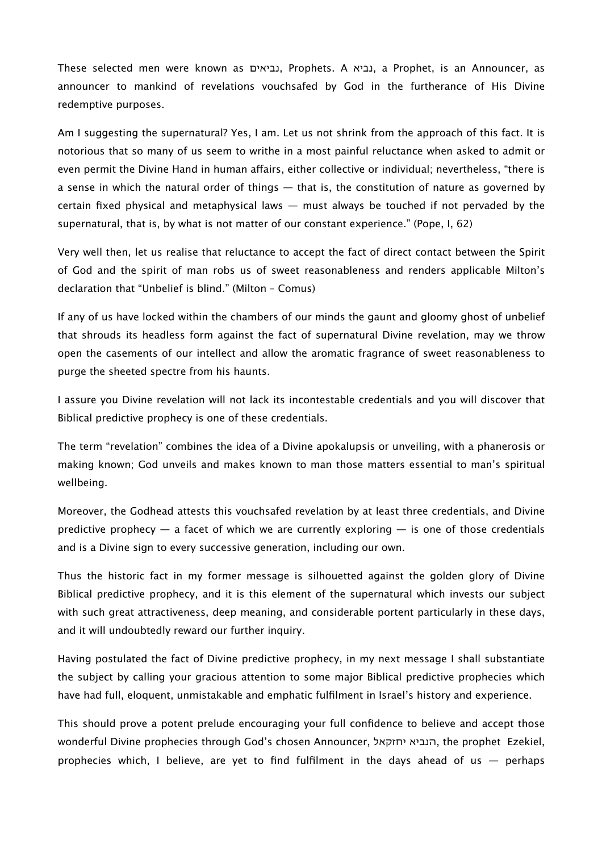These selected men were known as נביאים, Prophets. A נביא, a Prophet, is an Announcer, as announcer to mankind of revelations vouchsafed by God in the furtherance of His Divine redemptive purposes.

Am I suggesting the supernatural? Yes, I am. Let us not shrink from the approach of this fact. It is notorious that so many of us seem to writhe in a most painful reluctance when asked to admit or even permit the Divine Hand in human affairs, either collective or individual; nevertheless, "there is a sense in which the natural order of things — that is, the constitution of nature as governed by certain fixed physical and metaphysical laws — must always be touched if not pervaded by the supernatural, that is, by what is not matter of our constant experience." (Pope, I, 62)

Very well then, let us realise that reluctance to accept the fact of direct contact between the Spirit of God and the spirit of man robs us of sweet reasonableness and renders applicable Milton's declaration that "Unbelief is blind." (Milton – Comus)

If any of us have locked within the chambers of our minds the gaunt and gloomy ghost of unbelief that shrouds its headless form against the fact of supernatural Divine revelation, may we throw open the casements of our intellect and allow the aromatic fragrance of sweet reasonableness to purge the sheeted spectre from his haunts.

I assure you Divine revelation will not lack its incontestable credentials and you will discover that Biblical predictive prophecy is one of these credentials.

The term "revelation" combines the idea of a Divine apokalupsis or unveiling, with a phanerosis or making known; God unveils and makes known to man those matters essential to man's spiritual wellbeing.

Moreover, the Godhead attests this vouchsafed revelation by at least three credentials, and Divine predictive prophecy  $-$  a facet of which we are currently exploring  $-$  is one of those credentials and is a Divine sign to every successive generation, including our own.

Thus the historic fact in my former message is silhouetted against the golden glory of Divine Biblical predictive prophecy, and it is this element of the supernatural which invests our subject with such great attractiveness, deep meaning, and considerable portent particularly in these days, and it will undoubtedly reward our further inquiry.

Having postulated the fact of Divine predictive prophecy, in my next message I shall substantiate the subject by calling your gracious attention to some major Biblical predictive prophecies which have had full, eloquent, unmistakable and emphatic fulfilment in Israel's history and experience.

This should prove a potent prelude encouraging your full confidence to believe and accept those wonderful Divine prophecies through God's chosen Announcer, יחזקאל הנביא, the prophet Ezekiel, prophecies which, I believe, are yet to find fulfilment in the days ahead of us — perhaps